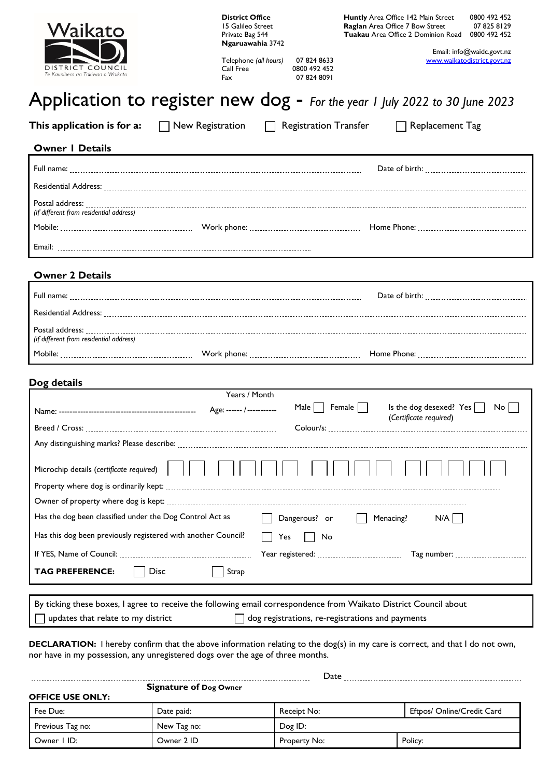| Waikato                                                       | <b>District Office</b><br>15 Galileo Street<br>Private Bag 544<br>Ngaruawahia 3742                                                                  | Huntly Area Office 142 Main Street<br>0800 492 452<br>Raglan Area Office 7 Bow Street<br>07 825 8129<br><b>Tuakau</b> Area Office 2 Dominion Road<br>0800 492 452 |  |  |  |
|---------------------------------------------------------------|-----------------------------------------------------------------------------------------------------------------------------------------------------|-------------------------------------------------------------------------------------------------------------------------------------------------------------------|--|--|--|
| DISTRICT COUNCIL<br>Te Kaunihera aa Takiwaa o Waikato         | Email: info@waidc.govt.nz<br>Telephone (all hours)<br>www.waikatodistrict.govt.nz<br>07 824 8633<br>Call Free<br>0800 492 452<br>07 824 8091<br>Fax |                                                                                                                                                                   |  |  |  |
|                                                               |                                                                                                                                                     | Application to register new dog - For the year 1 July 2022 to 30 June 2023                                                                                        |  |  |  |
| This application is for a:                                    | $\Box$ New Registration                                                                                                                             | <b>Registration Transfer</b><br>Replacement Tag                                                                                                                   |  |  |  |
| <b>Owner I Details</b>                                        |                                                                                                                                                     |                                                                                                                                                                   |  |  |  |
|                                                               |                                                                                                                                                     |                                                                                                                                                                   |  |  |  |
|                                                               |                                                                                                                                                     |                                                                                                                                                                   |  |  |  |
| (if different from residential address)                       |                                                                                                                                                     |                                                                                                                                                                   |  |  |  |
|                                                               |                                                                                                                                                     |                                                                                                                                                                   |  |  |  |
|                                                               |                                                                                                                                                     |                                                                                                                                                                   |  |  |  |
| <b>Owner 2 Details</b>                                        |                                                                                                                                                     |                                                                                                                                                                   |  |  |  |
|                                                               |                                                                                                                                                     |                                                                                                                                                                   |  |  |  |
|                                                               |                                                                                                                                                     |                                                                                                                                                                   |  |  |  |
| (if different from residential address)                       |                                                                                                                                                     |                                                                                                                                                                   |  |  |  |
|                                                               |                                                                                                                                                     |                                                                                                                                                                   |  |  |  |
|                                                               |                                                                                                                                                     |                                                                                                                                                                   |  |  |  |
| Dog details                                                   | Years / Month                                                                                                                                       |                                                                                                                                                                   |  |  |  |
|                                                               |                                                                                                                                                     | Female $\Box$<br>Is the dog desexed? Yes<br>Male    <br>$No$                                                                                                      |  |  |  |
|                                                               |                                                                                                                                                     | (Certificate required)                                                                                                                                            |  |  |  |
|                                                               |                                                                                                                                                     |                                                                                                                                                                   |  |  |  |
| Microchip details (certificate required)                      |                                                                                                                                                     |                                                                                                                                                                   |  |  |  |
|                                                               |                                                                                                                                                     |                                                                                                                                                                   |  |  |  |
|                                                               |                                                                                                                                                     |                                                                                                                                                                   |  |  |  |
| Has the dog been classified under the Dog Control Act as      |                                                                                                                                                     | Dangerous? or<br>Menacing?<br>$N/A$                                                                                                                               |  |  |  |
| Has this dog been previously registered with another Council? | Yes                                                                                                                                                 | No                                                                                                                                                                |  |  |  |
| Tag number:                                                   |                                                                                                                                                     |                                                                                                                                                                   |  |  |  |
| <b>Disc</b><br><b>TAG PREFERENCE:</b>                         | Strap                                                                                                                                               |                                                                                                                                                                   |  |  |  |
|                                                               |                                                                                                                                                     |                                                                                                                                                                   |  |  |  |
|                                                               |                                                                                                                                                     | By ticking these boxes, I agree to receive the following email correspondence from Waikato District Council about                                                 |  |  |  |

 $\Box$  updates that relate to my district  $\Box$  dog registrations, re-registrations and payments

**DECLARATION:** I hereby confirm that the above information relating to the dog(s) in my care is correct, and that I do not own, nor have in my possession, any unregistered dogs over the age of three months.

|                               | Date        |              |                            |  |
|-------------------------------|-------------|--------------|----------------------------|--|
| <b>Signature of Dog Owner</b> |             |              |                            |  |
| <b>OFFICE USE ONLY:</b>       |             |              |                            |  |
| Fee Due:                      | Date paid:  | Receipt No:  | Eftpos/ Online/Credit Card |  |
| Previous Tag no:              | New Tag no: | Dog ID:      |                            |  |
| Owner I ID:                   | Owner 2 ID  | Property No: | Policy:                    |  |